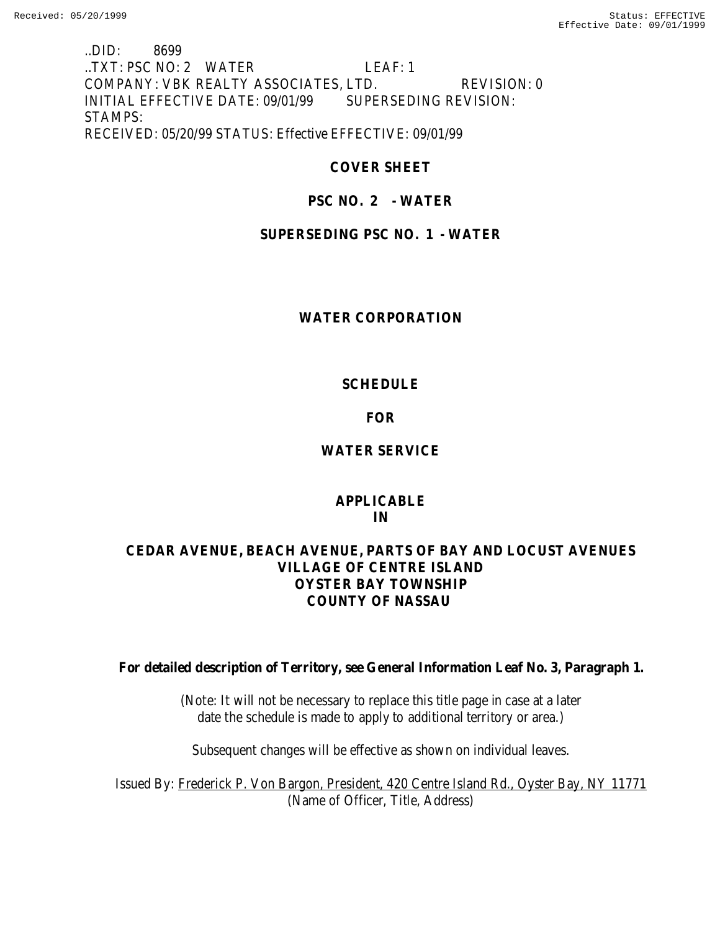### ..DID: 8699 ..TXT: PSC NO: 2 WATER LEAF: 1 COMPANY: VBK REALTY ASSOCIATES, LTD. REVISION: 0 INITIAL EFFECTIVE DATE: 09/01/99 SUPERSEDING REVISION: STAMPS: RECEIVED: 05/20/99 STATUS: Effective EFFECTIVE: 09/01/99

# **COVER SHEET**

# **PSC NO. 2 - WATER**

# **SUPERSEDING PSC NO. 1 - WATER**

### **WATER CORPORATION**

### **SCHEDULE**

# **FOR**

# **WATER SERVICE**

### **APPLICABLE IN**

# **CEDAR AVENUE, BEACH AVENUE, PARTS OF BAY AND LOCUST AVENUES VILLAGE OF CENTRE ISLAND OYSTER BAY TOWNSHIP COUNTY OF NASSAU**

**For detailed description of Territory, see General Information Leaf No. 3, Paragraph 1.**

(Note: It will not be necessary to replace this title page in case at a later date the schedule is made to apply to additional territory or area.)

Subsequent changes will be effective as shown on individual leaves.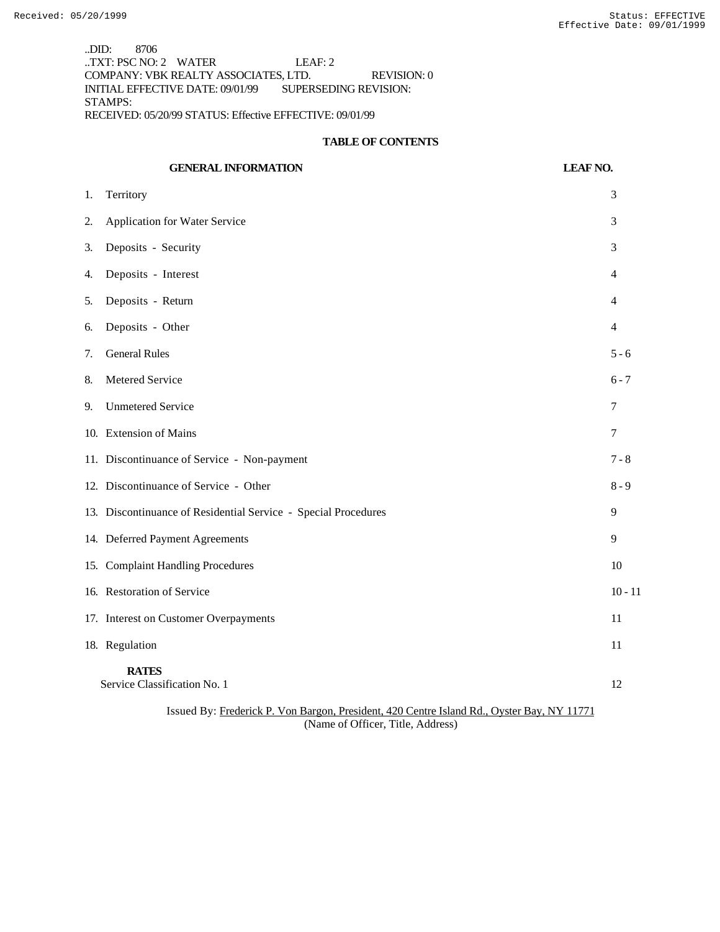..DID: 8706 ..TXT: PSC NO: 2 WATER LEAF: 2 COMPANY: VBK REALTY ASSOCIATES, LTD. REVISION: 0 INITIAL EFFECTIVE DATE: 09/01/99 SUPERSEDING REVISION: STAMPS: RECEIVED: 05/20/99 STATUS: Effective EFFECTIVE: 09/01/99

#### **TABLE OF CONTENTS**

# **GENERAL INFORMATION LEAF NO.** 1. Territory 3 2. Application for Water Service 3 3. Deposits - Security 3 4. Deposits - Interest 4 5. Deposits - Return 4 6. Deposits - Other 4 7. General Rules 5 - 6 8. Metered Service 6 - 7 9. Unmetered Service 7 10. Extension of Mains 7 11. Discontinuance of Service - Non-payment 7 - 8 12. Discontinuance of Service - Other 8 - 9 13. Discontinuance of Residential Service - Special Procedures 9 14. Deferred Payment Agreements 9 15. Complaint Handling Procedures 10 16. Restoration of Service 10 - 11 17. Interest on Customer Overpayments 11 18. Regulation 11 **RATES** Service Classification No. 1 12 Issued By: Frederick P. Von Bargon, President, 420 Centre Island Rd., Oyster Bay, NY 11771

(Name of Officer, Title, Address)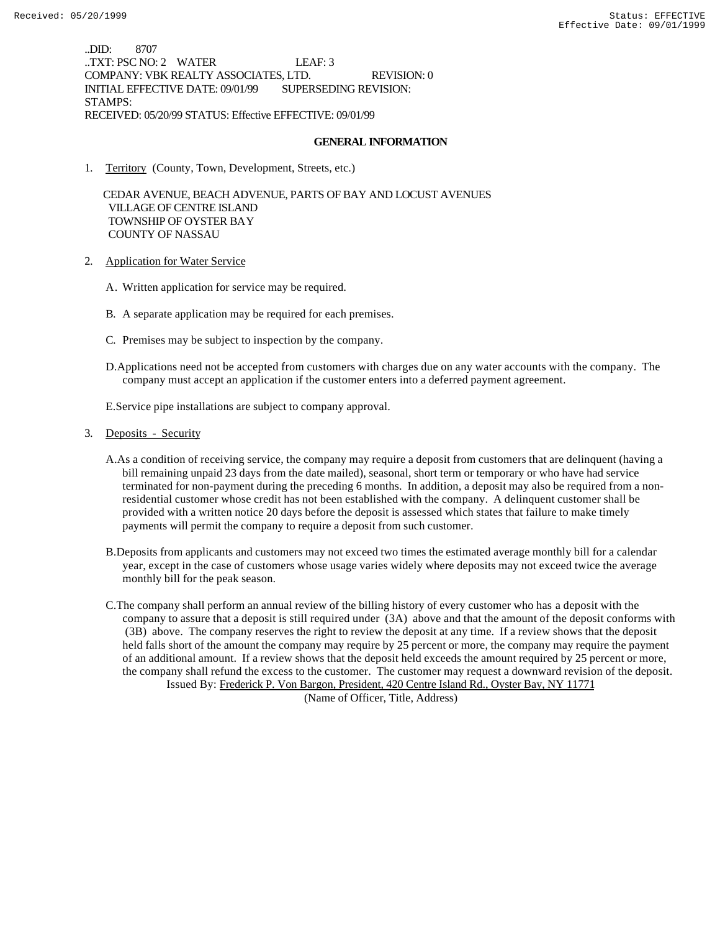..DID: 8707 ..TXT: PSC NO: 2 WATER LEAF: 3 COMPANY: VBK REALTY ASSOCIATES, LTD. REVISION: 0 INITIAL EFFECTIVE DATE: 09/01/99 SUPERSEDING REVISION: STAMPS: RECEIVED: 05/20/99 STATUS: Effective EFFECTIVE: 09/01/99

### **GENERAL INFORMATION**

1. Territory (County, Town, Development, Streets, etc.)

 CEDAR AVENUE, BEACH ADVENUE, PARTS OF BAY AND LOCUST AVENUES VILLAGE OF CENTRE ISLAND TOWNSHIP OF OYSTER BAY COUNTY OF NASSAU

- 2. Application for Water Service
	- A. Written application for service may be required.
	- B. A separate application may be required for each premises.
	- C. Premises may be subject to inspection by the company.
	- D.Applications need not be accepted from customers with charges due on any water accounts with the company. The company must accept an application if the customer enters into a deferred payment agreement.

E.Service pipe installations are subject to company approval.

- 3. Deposits Security
	- A.As a condition of receiving service, the company may require a deposit from customers that are delinquent (having a bill remaining unpaid 23 days from the date mailed), seasonal, short term or temporary or who have had service terminated for non-payment during the preceding 6 months. In addition, a deposit may also be required from a nonresidential customer whose credit has not been established with the company. A delinquent customer shall be provided with a written notice 20 days before the deposit is assessed which states that failure to make timely payments will permit the company to require a deposit from such customer.
	- B.Deposits from applicants and customers may not exceed two times the estimated average monthly bill for a calendar year, except in the case of customers whose usage varies widely where deposits may not exceed twice the average monthly bill for the peak season.

C.The company shall perform an annual review of the billing history of every customer who has a deposit with the company to assure that a deposit is still required under (3A) above and that the amount of the deposit conforms with (3B) above. The company reserves the right to review the deposit at any time. If a review shows that the deposit held falls short of the amount the company may require by 25 percent or more, the company may require the payment of an additional amount. If a review shows that the deposit held exceeds the amount required by 25 percent or more, the company shall refund the excess to the customer. The customer may request a downward revision of the deposit. Issued By: Frederick P. Von Bargon, President, 420 Centre Island Rd., Oyster Bay, NY 11771

(Name of Officer, Title, Address)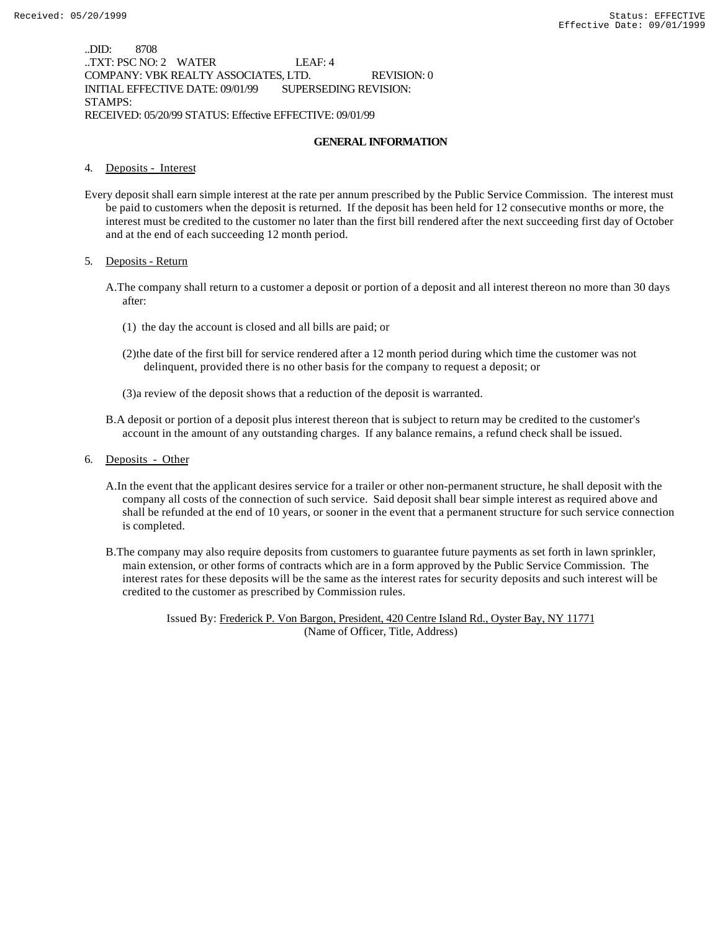..DID: 8708 ..TXT: PSC NO: 2 WATER LEAF: 4 COMPANY: VBK REALTY ASSOCIATES, LTD. REVISION: 0 INITIAL EFFECTIVE DATE: 09/01/99 SUPERSEDING REVISION: STAMPS: RECEIVED: 05/20/99 STATUS: Effective EFFECTIVE: 09/01/99

#### **GENERAL INFORMATION**

#### 4. Deposits - Interest

Every deposit shall earn simple interest at the rate per annum prescribed by the Public Service Commission. The interest must be paid to customers when the deposit is returned. If the deposit has been held for 12 consecutive months or more, the interest must be credited to the customer no later than the first bill rendered after the next succeeding first day of October and at the end of each succeeding 12 month period.

#### 5. Deposits - Return

- A.The company shall return to a customer a deposit or portion of a deposit and all interest thereon no more than 30 days after:
	- (1) the day the account is closed and all bills are paid; or
	- (2)the date of the first bill for service rendered after a 12 month period during which time the customer was not delinquent, provided there is no other basis for the company to request a deposit; or
	- (3)a review of the deposit shows that a reduction of the deposit is warranted.
- B.A deposit or portion of a deposit plus interest thereon that is subject to return may be credited to the customer's account in the amount of any outstanding charges. If any balance remains, a refund check shall be issued.
- 6. Deposits Other
	- A.In the event that the applicant desires service for a trailer or other non-permanent structure, he shall deposit with the company all costs of the connection of such service. Said deposit shall bear simple interest as required above and shall be refunded at the end of 10 years, or sooner in the event that a permanent structure for such service connection is completed.
	- B.The company may also require deposits from customers to guarantee future payments as set forth in lawn sprinkler, main extension, or other forms of contracts which are in a form approved by the Public Service Commission. The interest rates for these deposits will be the same as the interest rates for security deposits and such interest will be credited to the customer as prescribed by Commission rules.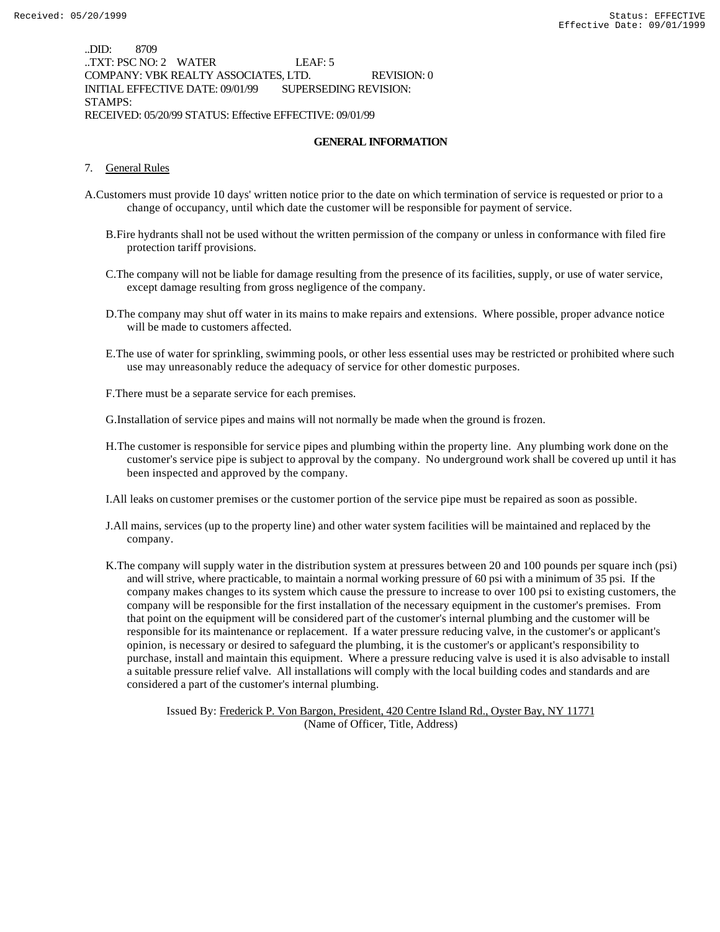..DID: 8709 ..TXT: PSC NO: 2 WATER LEAF: 5 COMPANY: VBK REALTY ASSOCIATES, LTD. REVISION: 0 INITIAL EFFECTIVE DATE: 09/01/99 SUPERSEDING REVISION: STAMPS: RECEIVED: 05/20/99 STATUS: Effective EFFECTIVE: 09/01/99

#### **GENERAL INFORMATION**

#### 7. General Rules

- A.Customers must provide 10 days' written notice prior to the date on which termination of service is requested or prior to a change of occupancy, until which date the customer will be responsible for payment of service.
	- B.Fire hydrants shall not be used without the written permission of the company or unless in conformance with filed fire protection tariff provisions.
	- C.The company will not be liable for damage resulting from the presence of its facilities, supply, or use of water service, except damage resulting from gross negligence of the company.
	- D.The company may shut off water in its mains to make repairs and extensions. Where possible, proper advance notice will be made to customers affected.
	- E.The use of water for sprinkling, swimming pools, or other less essential uses may be restricted or prohibited where such use may unreasonably reduce the adequacy of service for other domestic purposes.
	- F.There must be a separate service for each premises.
	- G.Installation of service pipes and mains will not normally be made when the ground is frozen.
	- H.The customer is responsible for service pipes and plumbing within the property line. Any plumbing work done on the customer's service pipe is subject to approval by the company. No underground work shall be covered up until it has been inspected and approved by the company.
	- I.All leaks on customer premises or the customer portion of the service pipe must be repaired as soon as possible.
	- J.All mains, services (up to the property line) and other water system facilities will be maintained and replaced by the company.
	- K.The company will supply water in the distribution system at pressures between 20 and 100 pounds per square inch (psi) and will strive, where practicable, to maintain a normal working pressure of 60 psi with a minimum of 35 psi. If the company makes changes to its system which cause the pressure to increase to over 100 psi to existing customers, the company will be responsible for the first installation of the necessary equipment in the customer's premises. From that point on the equipment will be considered part of the customer's internal plumbing and the customer will be responsible for its maintenance or replacement. If a water pressure reducing valve, in the customer's or applicant's opinion, is necessary or desired to safeguard the plumbing, it is the customer's or applicant's responsibility to purchase, install and maintain this equipment. Where a pressure reducing valve is used it is also advisable to install a suitable pressure relief valve. All installations will comply with the local building codes and standards and are considered a part of the customer's internal plumbing.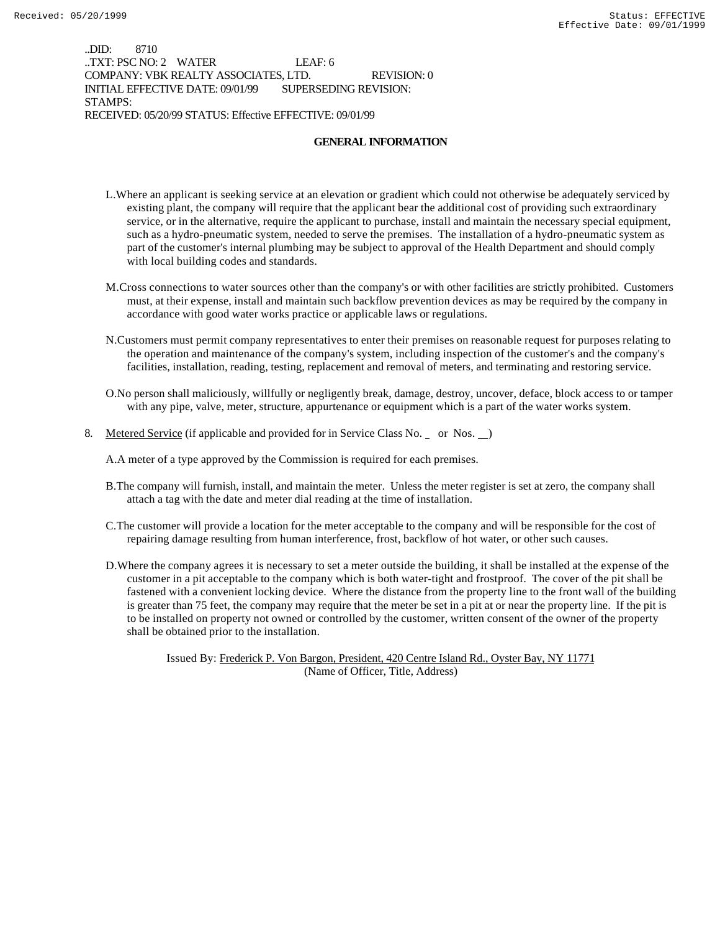..DID: 8710 ..TXT: PSC NO: 2 WATER LEAF: 6 COMPANY: VBK REALTY ASSOCIATES, LTD. REVISION: 0 INITIAL EFFECTIVE DATE: 09/01/99 SUPERSEDING REVISION: STAMPS: RECEIVED: 05/20/99 STATUS: Effective EFFECTIVE: 09/01/99

#### **GENERAL INFORMATION**

- L.Where an applicant is seeking service at an elevation or gradient which could not otherwise be adequately serviced by existing plant, the company will require that the applicant bear the additional cost of providing such extraordinary service, or in the alternative, require the applicant to purchase, install and maintain the necessary special equipment, such as a hydro-pneumatic system, needed to serve the premises. The installation of a hydro-pneumatic system as part of the customer's internal plumbing may be subject to approval of the Health Department and should comply with local building codes and standards.
- M.Cross connections to water sources other than the company's or with other facilities are strictly prohibited. Customers must, at their expense, install and maintain such backflow prevention devices as may be required by the company in accordance with good water works practice or applicable laws or regulations.
- N.Customers must permit company representatives to enter their premises on reasonable request for purposes relating to the operation and maintenance of the company's system, including inspection of the customer's and the company's facilities, installation, reading, testing, replacement and removal of meters, and terminating and restoring service.
- O.No person shall maliciously, willfully or negligently break, damage, destroy, uncover, deface, block access to or tamper with any pipe, valve, meter, structure, appurtenance or equipment which is a part of the water works system.
- 8. Metered Service (if applicable and provided for in Service Class No. \_ or Nos. \_)

A.A meter of a type approved by the Commission is required for each premises.

- B.The company will furnish, install, and maintain the meter. Unless the meter register is set at zero, the company shall attach a tag with the date and meter dial reading at the time of installation.
- C.The customer will provide a location for the meter acceptable to the company and will be responsible for the cost of repairing damage resulting from human interference, frost, backflow of hot water, or other such causes.
- D.Where the company agrees it is necessary to set a meter outside the building, it shall be installed at the expense of the customer in a pit acceptable to the company which is both water-tight and frostproof. The cover of the pit shall be fastened with a convenient locking device. Where the distance from the property line to the front wall of the building is greater than 75 feet, the company may require that the meter be set in a pit at or near the property line. If the pit is to be installed on property not owned or controlled by the customer, written consent of the owner of the property shall be obtained prior to the installation.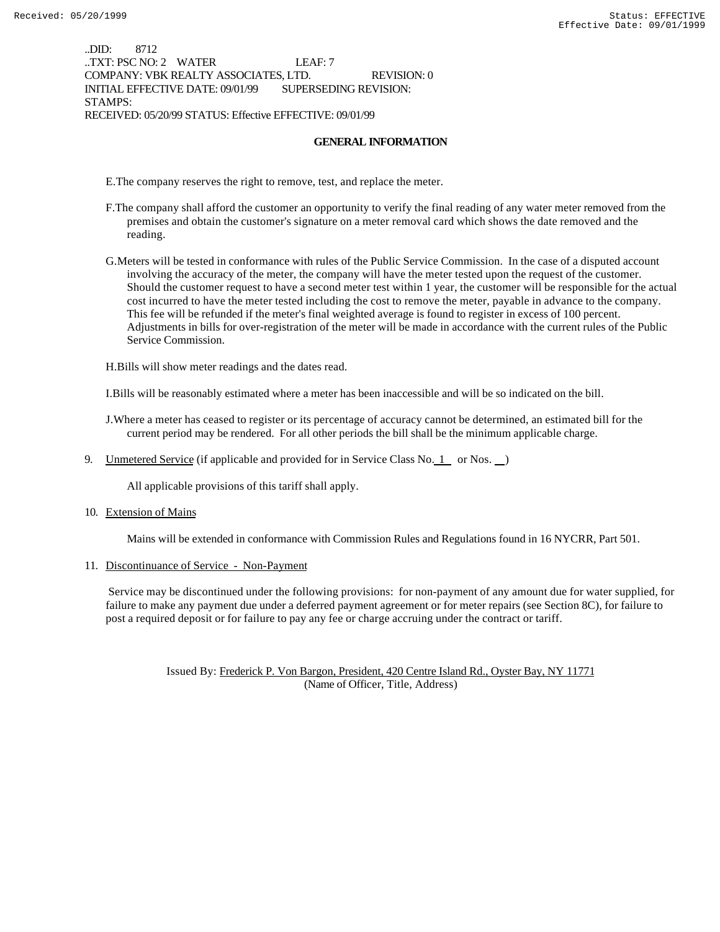..DID: 8712 ..TXT: PSC NO: 2 WATER LEAF: 7 COMPANY: VBK REALTY ASSOCIATES, LTD. REVISION: 0 INITIAL EFFECTIVE DATE: 09/01/99 SUPERSEDING REVISION: STAMPS: RECEIVED: 05/20/99 STATUS: Effective EFFECTIVE: 09/01/99

#### **GENERAL INFORMATION**

E.The company reserves the right to remove, test, and replace the meter.

- F.The company shall afford the customer an opportunity to verify the final reading of any water meter removed from the premises and obtain the customer's signature on a meter removal card which shows the date removed and the reading.
- G.Meters will be tested in conformance with rules of the Public Service Commission. In the case of a disputed account involving the accuracy of the meter, the company will have the meter tested upon the request of the customer. Should the customer request to have a second meter test within 1 year, the customer will be responsible for the actual cost incurred to have the meter tested including the cost to remove the meter, payable in advance to the company. This fee will be refunded if the meter's final weighted average is found to register in excess of 100 percent. Adjustments in bills for over-registration of the meter will be made in accordance with the current rules of the Public Service Commission.

H.Bills will show meter readings and the dates read.

I.Bills will be reasonably estimated where a meter has been inaccessible and will be so indicated on the bill.

J.Where a meter has ceased to register or its percentage of accuracy cannot be determined, an estimated bill for the current period may be rendered. For all other periods the bill shall be the minimum applicable charge.

9. Unmetered Service (if applicable and provided for in Service Class No.  $1$  or Nos.  $)$ 

All applicable provisions of this tariff shall apply.

10. Extension of Mains

Mains will be extended in conformance with Commission Rules and Regulations found in 16 NYCRR, Part 501.

11. Discontinuance of Service - Non-Payment

 Service may be discontinued under the following provisions: for non-payment of any amount due for water supplied, for failure to make any payment due under a deferred payment agreement or for meter repairs (see Section 8C), for failure to post a required deposit or for failure to pay any fee or charge accruing under the contract or tariff.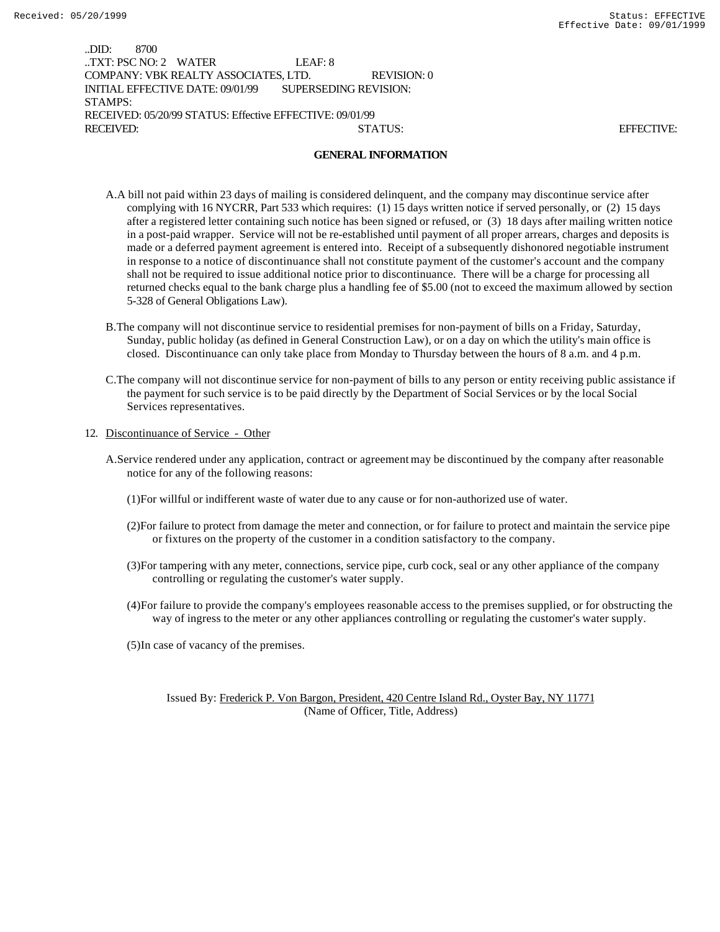..DID: 8700 ..TXT: PSC NO: 2 WATER LEAF: 8 COMPANY: VBK REALTY ASSOCIATES, LTD. REVISION: 0 INITIAL EFFECTIVE DATE: 09/01/99 SUPERSEDING REVISION: STAMPS: RECEIVED: 05/20/99 STATUS: Effective EFFECTIVE: 09/01/99 RECEIVED: STATUS: EFFECTIVE:

#### **GENERAL INFORMATION**

- A.A bill not paid within 23 days of mailing is considered delinquent, and the company may discontinue service after complying with 16 NYCRR, Part 533 which requires: (1) 15 days written notice if served personally, or (2) 15 days after a registered letter containing such notice has been signed or refused, or (3) 18 days after mailing written notice in a post-paid wrapper. Service will not be re-established until payment of all proper arrears, charges and deposits is made or a deferred payment agreement is entered into. Receipt of a subsequently dishonored negotiable instrument in response to a notice of discontinuance shall not constitute payment of the customer's account and the company shall not be required to issue additional notice prior to discontinuance. There will be a charge for processing all returned checks equal to the bank charge plus a handling fee of \$5.00 (not to exceed the maximum allowed by section 5-328 of General Obligations Law).
- B.The company will not discontinue service to residential premises for non-payment of bills on a Friday, Saturday, Sunday, public holiday (as defined in General Construction Law), or on a day on which the utility's main office is closed. Discontinuance can only take place from Monday to Thursday between the hours of 8 a.m. and 4 p.m.
- C.The company will not discontinue service for non-payment of bills to any person or entity receiving public assistance if the payment for such service is to be paid directly by the Department of Social Services or by the local Social Services representatives.
- 12. Discontinuance of Service Other
	- A.Service rendered under any application, contract or agreement may be discontinued by the company after reasonable notice for any of the following reasons:
		- (1)For willful or indifferent waste of water due to any cause or for non-authorized use of water.
		- (2)For failure to protect from damage the meter and connection, or for failure to protect and maintain the service pipe or fixtures on the property of the customer in a condition satisfactory to the company.
		- (3)For tampering with any meter, connections, service pipe, curb cock, seal or any other appliance of the company controlling or regulating the customer's water supply.
		- (4)For failure to provide the company's employees reasonable access to the premises supplied, or for obstructing the way of ingress to the meter or any other appliances controlling or regulating the customer's water supply.
		- (5)In case of vacancy of the premises.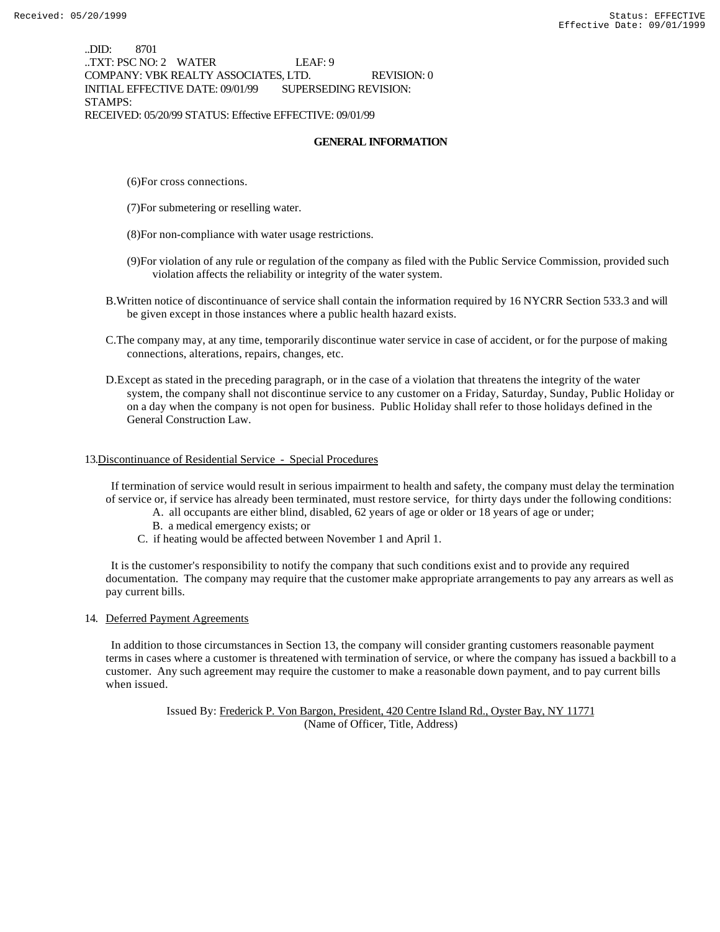..DID: 8701 ..TXT: PSC NO: 2 WATER LEAF: 9 COMPANY: VBK REALTY ASSOCIATES, LTD. REVISION: 0 INITIAL EFFECTIVE DATE: 09/01/99 SUPERSEDING REVISION: STAMPS: RECEIVED: 05/20/99 STATUS: Effective EFFECTIVE: 09/01/99

### **GENERAL INFORMATION**

- (6)For cross connections.
- (7)For submetering or reselling water.
- (8)For non-compliance with water usage restrictions.
- (9)For violation of any rule or regulation of the company as filed with the Public Service Commission, provided such violation affects the reliability or integrity of the water system.
- B.Written notice of discontinuance of service shall contain the information required by 16 NYCRR Section 533.3 and will be given except in those instances where a public health hazard exists.
- C.The company may, at any time, temporarily discontinue water service in case of accident, or for the purpose of making connections, alterations, repairs, changes, etc.
- D.Except as stated in the preceding paragraph, or in the case of a violation that threatens the integrity of the water system, the company shall not discontinue service to any customer on a Friday, Saturday, Sunday, Public Holiday or on a day when the company is not open for business. Public Holiday shall refer to those holidays defined in the General Construction Law.

### 13.Discontinuance of Residential Service - Special Procedures

 If termination of service would result in serious impairment to health and safety, the company must delay the termination of service or, if service has already been terminated, must restore service, for thirty days under the following conditions:

- A. all occupants are either blind, disabled, 62 years of age or older or 18 years of age or under;
- B. a medical emergency exists; or
- C. if heating would be affected between November 1 and April 1.

 It is the customer's responsibility to notify the company that such conditions exist and to provide any required documentation. The company may require that the customer make appropriate arrangements to pay any arrears as well as pay current bills.

### 14. Deferred Payment Agreements

 In addition to those circumstances in Section 13, the company will consider granting customers reasonable payment terms in cases where a customer is threatened with termination of service, or where the company has issued a backbill to a customer. Any such agreement may require the customer to make a reasonable down payment, and to pay current bills when issued.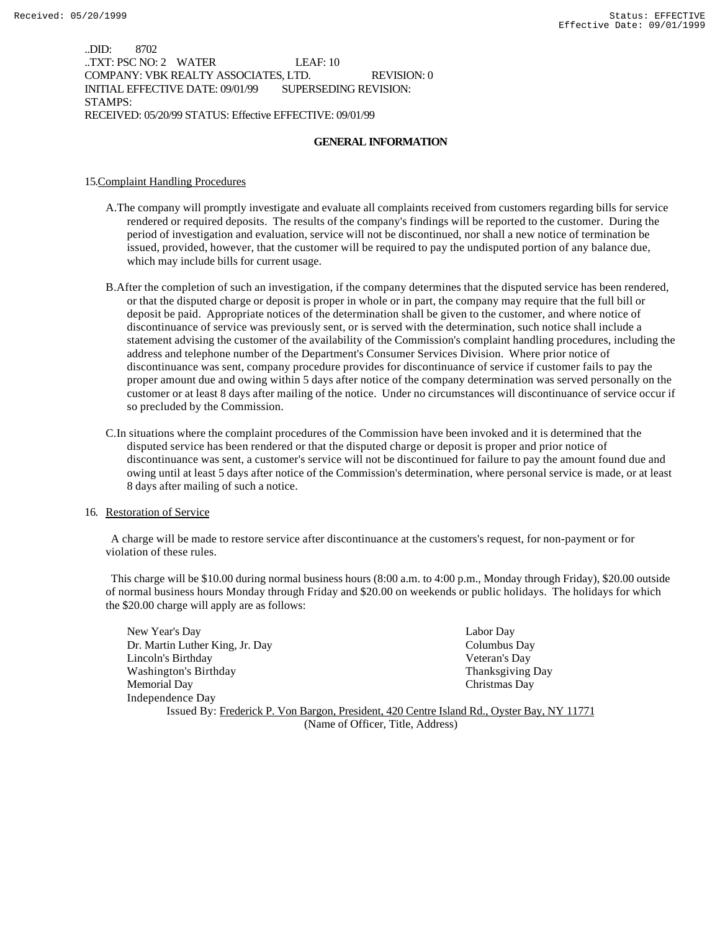..DID: 8702 ..TXT: PSC NO: 2 WATER LEAF: 10 COMPANY: VBK REALTY ASSOCIATES, LTD. REVISION: 0 INITIAL EFFECTIVE DATE: 09/01/99 SUPERSEDING REVISION: STAMPS: RECEIVED: 05/20/99 STATUS: Effective EFFECTIVE: 09/01/99

#### **GENERAL INFORMATION**

#### 15.Complaint Handling Procedures

- A.The company will promptly investigate and evaluate all complaints received from customers regarding bills for service rendered or required deposits. The results of the company's findings will be reported to the customer. During the period of investigation and evaluation, service will not be discontinued, nor shall a new notice of termination be issued, provided, however, that the customer will be required to pay the undisputed portion of any balance due, which may include bills for current usage.
- B.After the completion of such an investigation, if the company determines that the disputed service has been rendered, or that the disputed charge or deposit is proper in whole or in part, the company may require that the full bill or deposit be paid. Appropriate notices of the determination shall be given to the customer, and where notice of discontinuance of service was previously sent, or is served with the determination, such notice shall include a statement advising the customer of the availability of the Commission's complaint handling procedures, including the address and telephone number of the Department's Consumer Services Division. Where prior notice of discontinuance was sent, company procedure provides for discontinuance of service if customer fails to pay the proper amount due and owing within 5 days after notice of the company determination was served personally on the customer or at least 8 days after mailing of the notice. Under no circumstances will discontinuance of service occur if so precluded by the Commission.
- C.In situations where the complaint procedures of the Commission have been invoked and it is determined that the disputed service has been rendered or that the disputed charge or deposit is proper and prior notice of discontinuance was sent, a customer's service will not be discontinued for failure to pay the amount found due and owing until at least 5 days after notice of the Commission's determination, where personal service is made, or at least 8 days after mailing of such a notice.

#### 16. Restoration of Service

 A charge will be made to restore service after discontinuance at the customers's request, for non-payment or for violation of these rules.

 This charge will be \$10.00 during normal business hours (8:00 a.m. to 4:00 p.m., Monday through Friday), \$20.00 outside of normal business hours Monday through Friday and \$20.00 on weekends or public holidays. The holidays for which the \$20.00 charge will apply are as follows:

New Year's Day Labor Day Dr. Martin Luther King, Jr. Day Columbus Day Lincoln's Birthday Veteran's Day Washington's Birthday **Thanksgiving Day** Thanksgiving Day Memorial Day Christmas Day Independence Day Issued By: Frederick P. Von Bargon, President, 420 Centre Island Rd., Oyster Bay, NY 11771

(Name of Officer, Title, Address)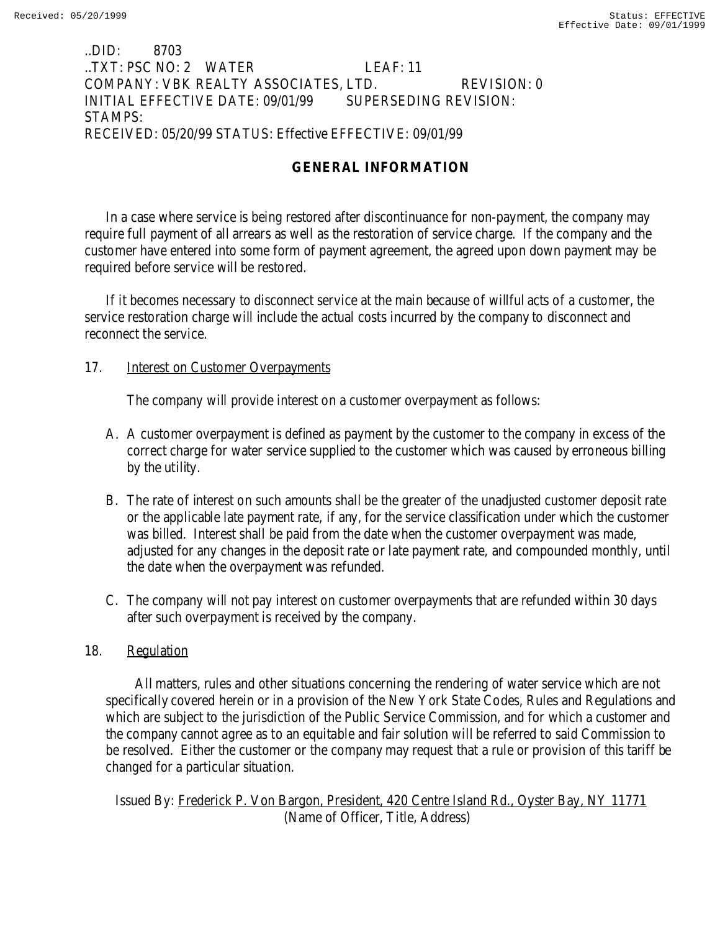### ..DID: 8703 ..TXT: PSC NO: 2 WATER LEAF: 11 COMPANY: VBK REALTY ASSOCIATES, LTD. REVISION: 0 INITIAL EFFECTIVE DATE: 09/01/99 SUPERSEDING REVISION: STAMPS: RECEIVED: 05/20/99 STATUS: Effective EFFECTIVE: 09/01/99

# **GENERAL INFORMATION**

In a case where service is being restored after discontinuance for non-payment, the company may require full payment of all arrears as well as the restoration of service charge. If the company and the customer have entered into some form of payment agreement, the agreed upon down payment may be required before service will be restored.

If it becomes necessary to disconnect service at the main because of willful acts of a customer, the service restoration charge will include the actual costs incurred by the company to disconnect and reconnect the service.

### 17. **Interest on Customer Overpayments**

The company will provide interest on a customer overpayment as follows:

- A. A customer overpayment is defined as payment by the customer to the company in excess of the correct charge for water service supplied to the customer which was caused by erroneous billing by the utility.
- B. The rate of interest on such amounts shall be the greater of the unadjusted customer deposit rate or the applicable late payment rate, if any, for the service classification under which the customer was billed. Interest shall be paid from the date when the customer overpayment was made, adjusted for any changes in the deposit rate or late payment rate, and compounded monthly, until the date when the overpayment was refunded.
- C. The company will not pay interest on customer overpayments that are refunded within 30 days after such overpayment is received by the company.

### 18. Regulation

 All matters, rules and other situations concerning the rendering of water service which are not specifically covered herein or in a provision of the New York State Codes, Rules and Regulations and which are subject to the jurisdiction of the Public Service Commission, and for which a customer and the company cannot agree as to an equitable and fair solution will be referred to said Commission to be resolved. Either the customer or the company may request that a rule or provision of this tariff be changed for a particular situation.